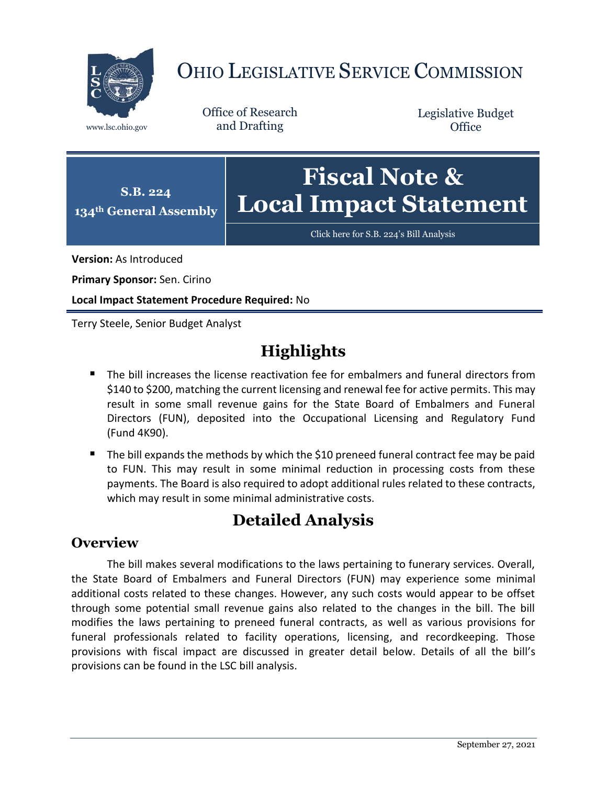

# OHIO LEGISLATIVE SERVICE COMMISSION

Office of Research www.lsc.ohio.gov and Drafting

Legislative Budget **Office** 



[Click here for S.B. 224](https://www.legislature.ohio.gov/legislation/legislation-documents?id=GA134-SB-224)'s Bill Analysis

**Version:** As Introduced

**Primary Sponsor:** Sen. Cirino

**Local Impact Statement Procedure Required:** No

Terry Steele, Senior Budget Analyst

## **Highlights**

- The bill increases the license reactivation fee for embalmers and funeral directors from \$140 to \$200, matching the current licensing and renewal fee for active permits. This may result in some small revenue gains for the State Board of Embalmers and Funeral Directors (FUN), deposited into the Occupational Licensing and Regulatory Fund (Fund 4K90).
- The bill expands the methods by which the \$10 preneed funeral contract fee may be paid to FUN. This may result in some minimal reduction in processing costs from these payments. The Board is also required to adopt additional rules related to these contracts, which may result in some minimal administrative costs.

### **Detailed Analysis**

#### **Overview**

The bill makes several modifications to the laws pertaining to funerary services. Overall, the State Board of Embalmers and Funeral Directors (FUN) may experience some minimal additional costs related to these changes. However, any such costs would appear to be offset through some potential small revenue gains also related to the changes in the bill. The bill modifies the laws pertaining to preneed funeral contracts, as well as various provisions for funeral professionals related to facility operations, licensing, and recordkeeping. Those provisions with fiscal impact are discussed in greater detail below. Details of all the bill's provisions can be found in the LSC bill analysis.